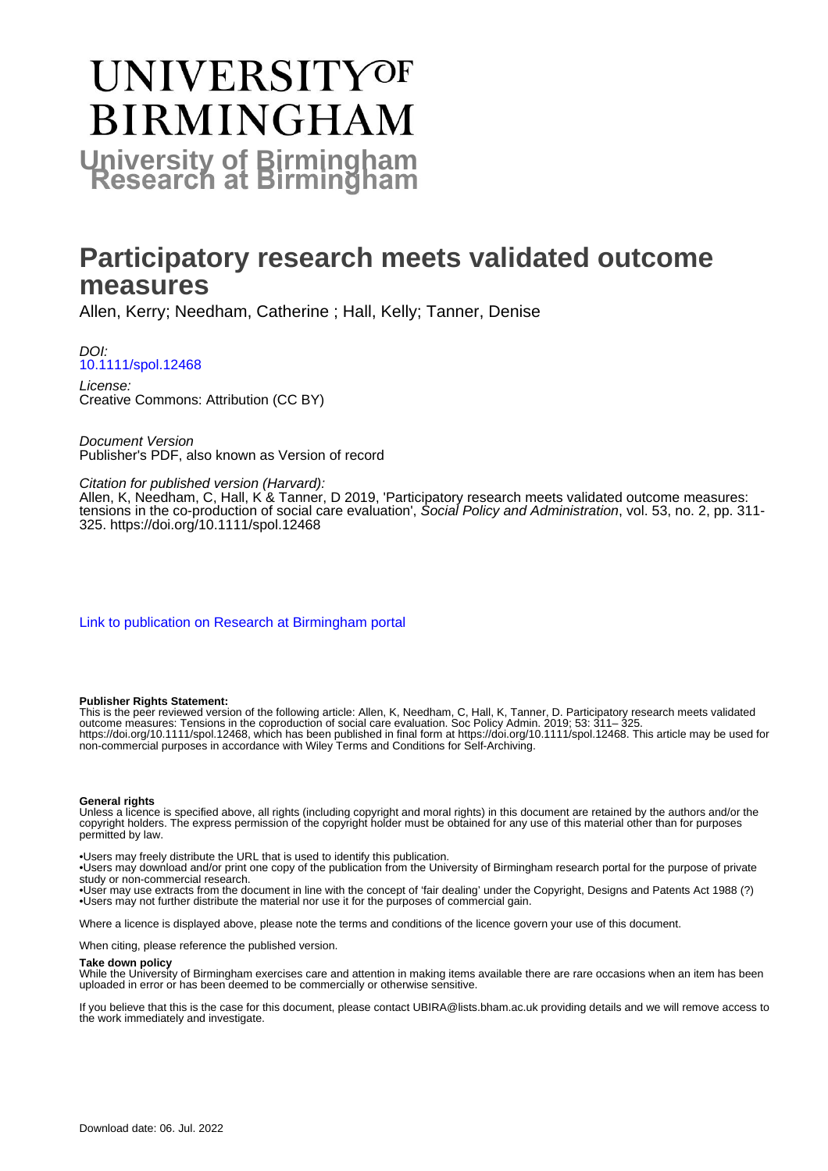# UNIVERSITYOF **BIRMINGHAM University of Birmingham**

# **Participatory research meets validated outcome measures**

Allen, Kerry; Needham, Catherine ; Hall, Kelly; Tanner, Denise

DOI: [10.1111/spol.12468](https://doi.org/10.1111/spol.12468)

License: Creative Commons: Attribution (CC BY)

Document Version Publisher's PDF, also known as Version of record

# Citation for published version (Harvard):

Allen, K, Needham, C, Hall, K & Tanner, D 2019, 'Participatory research meets validated outcome measures: tensions in the co-production of social care evaluation', Social Policy and Administration, vol. 53, no. 2, pp. 311- 325.<https://doi.org/10.1111/spol.12468>

[Link to publication on Research at Birmingham portal](https://birmingham.elsevierpure.com/en/publications/d0c3c763-639f-4dbb-a720-35d3f02e8576)

#### **Publisher Rights Statement:**

This is the peer reviewed version of the following article: Allen, K, Needham, C, Hall, K, Tanner, D. Participatory research meets validated outcome measures: Tensions in the coproduction of social care evaluation. Soc Policy Admin. 2019; 53: 311– 325. https://doi.org/10.1111/spol.12468, which has been published in final form at https://doi.org/10.1111/spol.12468. This article may be used for non-commercial purposes in accordance with Wiley Terms and Conditions for Self-Archiving.

#### **General rights**

Unless a licence is specified above, all rights (including copyright and moral rights) in this document are retained by the authors and/or the copyright holders. The express permission of the copyright holder must be obtained for any use of this material other than for purposes permitted by law.

• Users may freely distribute the URL that is used to identify this publication.

• Users may download and/or print one copy of the publication from the University of Birmingham research portal for the purpose of private study or non-commercial research.

• User may use extracts from the document in line with the concept of 'fair dealing' under the Copyright, Designs and Patents Act 1988 (?) • Users may not further distribute the material nor use it for the purposes of commercial gain.

Where a licence is displayed above, please note the terms and conditions of the licence govern your use of this document.

When citing, please reference the published version.

#### **Take down policy**

While the University of Birmingham exercises care and attention in making items available there are rare occasions when an item has been uploaded in error or has been deemed to be commercially or otherwise sensitive.

If you believe that this is the case for this document, please contact UBIRA@lists.bham.ac.uk providing details and we will remove access to the work immediately and investigate.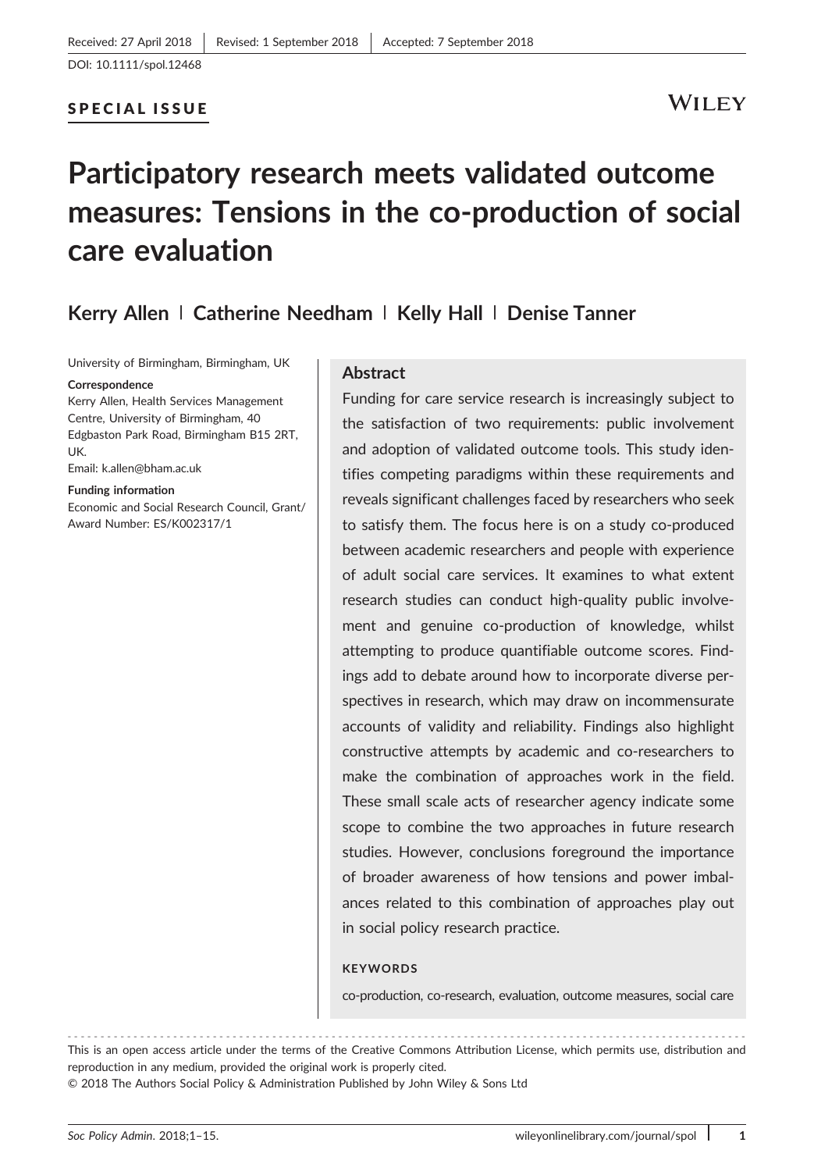# SPECIAL ISSUE

# **WILEY**

# **Participatory research meets validated outcome measures: Tensions in the co‐production of social care evaluation**

# **Kerry Allen | Catherine Needham | Kelly Hall | Denise Tanner**

University of Birmingham, Birmingham, UK

#### **Correspondence**

Kerry Allen, Health Services Management Centre, University of Birmingham, 40 Edgbaston Park Road, Birmingham B15 2RT, UK. Email: [k.allen@bham.ac.uk](mailto:k.allen@bham.ac.uk)

**Funding information** Economic and Social Research Council, Grant/ Award Number: ES/K002317/1

## **Abstract**

Funding for care service research is increasingly subject to the satisfaction of two requirements: public involvement and adoption of validated outcome tools. This study identifies competing paradigms within these requirements and reveals significant challenges faced by researchers who seek to satisfy them. The focus here is on a study co‐produced between academic researchers and people with experience of adult social care services. It examines to what extent research studies can conduct high‐quality public involvement and genuine co-production of knowledge, whilst attempting to produce quantifiable outcome scores. Findings add to debate around how to incorporate diverse perspectives in research, which may draw on incommensurate accounts of validity and reliability. Findings also highlight constructive attempts by academic and co‐researchers to make the combination of approaches work in the field. These small scale acts of researcher agency indicate some scope to combine the two approaches in future research studies. However, conclusions foreground the importance of broader awareness of how tensions and power imbalances related to this combination of approaches play out in social policy research practice.

#### **KEYWORDS**

co‐production, co‐research, evaluation, outcome measures, social care

------------------------------------------------------------------------------------------------------- This is an open access article under the terms of the [Creative Commons Attribution](http://creativecommons.org/licenses/by/4.0/) License, which permits use, distribution and reproduction in any medium, provided the original work is properly cited. © 2018 The Authors Social Policy & Administration Published by John Wiley & Sons Ltd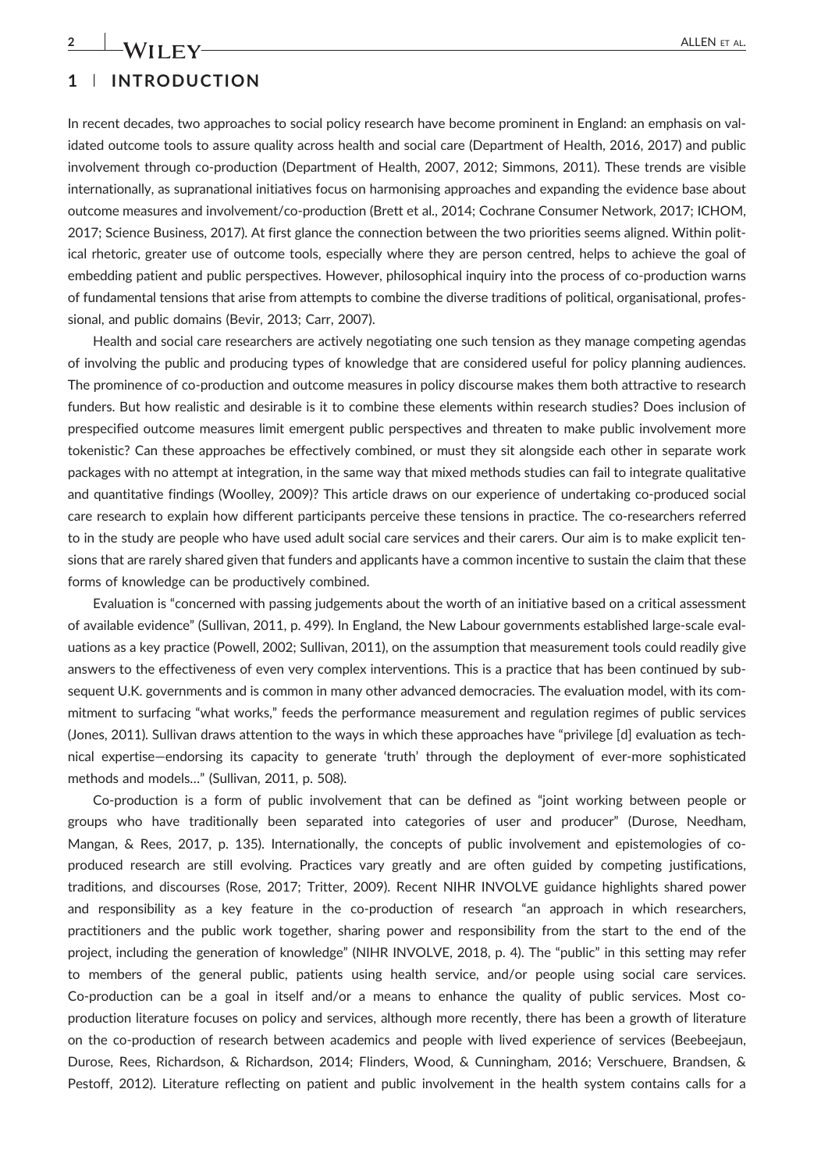# **1** | **INTRODUCTION**

In recent decades, two approaches to social policy research have become prominent in England: an emphasis on validated outcome tools to assure quality across health and social care (Department of Health, 2016, 2017) and public involvement through co-production (Department of Health, 2007, 2012; Simmons, 2011). These trends are visible internationally, as supranational initiatives focus on harmonising approaches and expanding the evidence base about outcome measures and involvement/co‐production (Brett et al., 2014; Cochrane Consumer Network, 2017; ICHOM, 2017; Science Business, 2017). At first glance the connection between the two priorities seems aligned. Within political rhetoric, greater use of outcome tools, especially where they are person centred, helps to achieve the goal of embedding patient and public perspectives. However, philosophical inquiry into the process of co-production warns of fundamental tensions that arise from attempts to combine the diverse traditions of political, organisational, professional, and public domains (Bevir, 2013; Carr, 2007).

Health and social care researchers are actively negotiating one such tension as they manage competing agendas of involving the public and producing types of knowledge that are considered useful for policy planning audiences. The prominence of co-production and outcome measures in policy discourse makes them both attractive to research funders. But how realistic and desirable is it to combine these elements within research studies? Does inclusion of prespecified outcome measures limit emergent public perspectives and threaten to make public involvement more tokenistic? Can these approaches be effectively combined, or must they sit alongside each other in separate work packages with no attempt at integration, in the same way that mixed methods studies can fail to integrate qualitative and quantitative findings (Woolley, 2009)? This article draws on our experience of undertaking co‐produced social care research to explain how different participants perceive these tensions in practice. The co-researchers referred to in the study are people who have used adult social care services and their carers. Our aim is to make explicit tensions that are rarely shared given that funders and applicants have a common incentive to sustain the claim that these forms of knowledge can be productively combined.

Evaluation is "concerned with passing judgements about the worth of an initiative based on a critical assessment of available evidence" (Sullivan, 2011, p. 499). In England, the New Labour governments established large‐scale evaluations as a key practice (Powell, 2002; Sullivan, 2011), on the assumption that measurement tools could readily give answers to the effectiveness of even very complex interventions. This is a practice that has been continued by subsequent U.K. governments and is common in many other advanced democracies. The evaluation model, with its commitment to surfacing "what works," feeds the performance measurement and regulation regimes of public services (Jones, 2011). Sullivan draws attention to the ways in which these approaches have "privilege [d] evaluation as technical expertise—endorsing its capacity to generate 'truth' through the deployment of ever‐more sophisticated methods and models…" (Sullivan, 2011, p. 508).

Co-production is a form of public involvement that can be defined as "joint working between people or groups who have traditionally been separated into categories of user and producer" (Durose, Needham, Mangan, & Rees, 2017, p. 135). Internationally, the concepts of public involvement and epistemologies of coproduced research are still evolving. Practices vary greatly and are often guided by competing justifications, traditions, and discourses (Rose, 2017; Tritter, 2009). Recent NIHR INVOLVE guidance highlights shared power and responsibility as a key feature in the co-production of research "an approach in which researchers, practitioners and the public work together, sharing power and responsibility from the start to the end of the project, including the generation of knowledge" (NIHR INVOLVE, 2018, p. 4). The "public" in this setting may refer to members of the general public, patients using health service, and/or people using social care services. Co-production can be a goal in itself and/or a means to enhance the quality of public services. Most coproduction literature focuses on policy and services, although more recently, there has been a growth of literature on the co‐production of research between academics and people with lived experience of services (Beebeejaun, Durose, Rees, Richardson, & Richardson, 2014; Flinders, Wood, & Cunningham, 2016; Verschuere, Brandsen, & Pestoff, 2012). Literature reflecting on patient and public involvement in the health system contains calls for a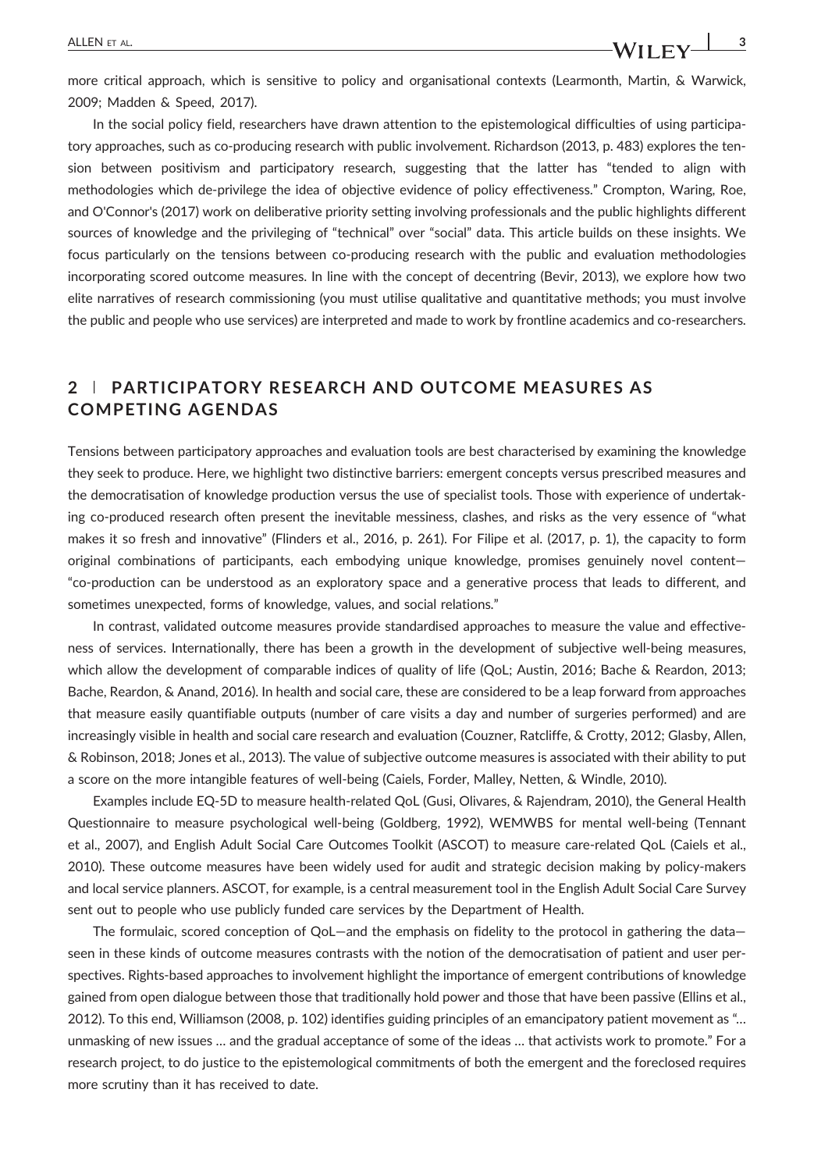more critical approach, which is sensitive to policy and organisational contexts (Learmonth, Martin, & Warwick, 2009; Madden & Speed, 2017).

In the social policy field, researchers have drawn attention to the epistemological difficulties of using participatory approaches, such as co-producing research with public involvement. Richardson (2013, p. 483) explores the tension between positivism and participatory research, suggesting that the latter has "tended to align with methodologies which de‐privilege the idea of objective evidence of policy effectiveness." Crompton, Waring, Roe, and O'Connor's (2017) work on deliberative priority setting involving professionals and the public highlights different sources of knowledge and the privileging of "technical" over "social" data. This article builds on these insights. We focus particularly on the tensions between co-producing research with the public and evaluation methodologies incorporating scored outcome measures. In line with the concept of decentring (Bevir, 2013), we explore how two elite narratives of research commissioning (you must utilise qualitative and quantitative methods; you must involve the public and people who use services) are interpreted and made to work by frontline academics and co-researchers.

# **2** | **PARTICIPATORY RESEARCH AND OUTCOME MEASURES AS COMPETING AGENDAS**

Tensions between participatory approaches and evaluation tools are best characterised by examining the knowledge they seek to produce. Here, we highlight two distinctive barriers: emergent concepts versus prescribed measures and the democratisation of knowledge production versus the use of specialist tools. Those with experience of undertaking co‐produced research often present the inevitable messiness, clashes, and risks as the very essence of "what makes it so fresh and innovative" (Flinders et al., 2016, p. 261). For Filipe et al. (2017, p. 1), the capacity to form original combinations of participants, each embodying unique knowledge, promises genuinely novel content— "co‐production can be understood as an exploratory space and a generative process that leads to different, and sometimes unexpected, forms of knowledge, values, and social relations."

In contrast, validated outcome measures provide standardised approaches to measure the value and effectiveness of services. Internationally, there has been a growth in the development of subjective well‐being measures, which allow the development of comparable indices of quality of life (QoL; Austin, 2016; Bache & Reardon, 2013; Bache, Reardon, & Anand, 2016). In health and social care, these are considered to be a leap forward from approaches that measure easily quantifiable outputs (number of care visits a day and number of surgeries performed) and are increasingly visible in health and social care research and evaluation (Couzner, Ratcliffe, & Crotty, 2012; Glasby, Allen, & Robinson, 2018; Jones et al., 2013). The value of subjective outcome measures is associated with their ability to put a score on the more intangible features of well‐being (Caiels, Forder, Malley, Netten, & Windle, 2010).

Examples include EQ-5D to measure health-related QoL (Gusi, Olivares, & Rajendram, 2010), the General Health Questionnaire to measure psychological well‐being (Goldberg, 1992), WEMWBS for mental well‐being (Tennant et al., 2007), and English Adult Social Care Outcomes Toolkit (ASCOT) to measure care-related QoL (Caiels et al., 2010). These outcome measures have been widely used for audit and strategic decision making by policy‐makers and local service planners. ASCOT, for example, is a central measurement tool in the English Adult Social Care Survey sent out to people who use publicly funded care services by the Department of Health.

The formulaic, scored conception of QoL—and the emphasis on fidelity to the protocol in gathering the data seen in these kinds of outcome measures contrasts with the notion of the democratisation of patient and user perspectives. Rights‐based approaches to involvement highlight the importance of emergent contributions of knowledge gained from open dialogue between those that traditionally hold power and those that have been passive (Ellins et al., 2012). To this end, Williamson (2008, p. 102) identifies guiding principles of an emancipatory patient movement as "… unmasking of new issues … and the gradual acceptance of some of the ideas … that activists work to promote." For a research project, to do justice to the epistemological commitments of both the emergent and the foreclosed requires more scrutiny than it has received to date.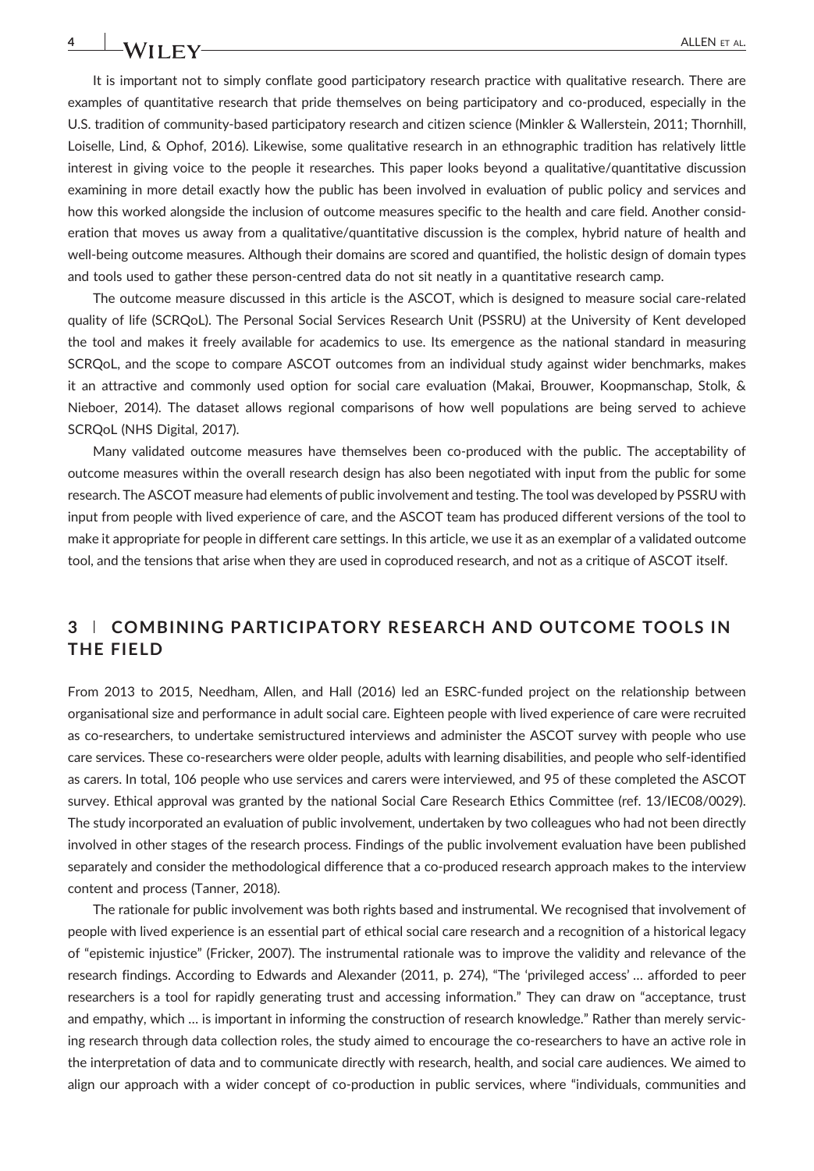It is important not to simply conflate good participatory research practice with qualitative research. There are examples of quantitative research that pride themselves on being participatory and co-produced, especially in the U.S. tradition of community‐based participatory research and citizen science (Minkler & Wallerstein, 2011; Thornhill, Loiselle, Lind, & Ophof, 2016). Likewise, some qualitative research in an ethnographic tradition has relatively little interest in giving voice to the people it researches. This paper looks beyond a qualitative/quantitative discussion examining in more detail exactly how the public has been involved in evaluation of public policy and services and how this worked alongside the inclusion of outcome measures specific to the health and care field. Another consideration that moves us away from a qualitative/quantitative discussion is the complex, hybrid nature of health and well‐being outcome measures. Although their domains are scored and quantified, the holistic design of domain types and tools used to gather these person-centred data do not sit neatly in a quantitative research camp.

The outcome measure discussed in this article is the ASCOT, which is designed to measure social care-related quality of life (SCRQoL). The Personal Social Services Research Unit (PSSRU) at the University of Kent developed the tool and makes it freely available for academics to use. Its emergence as the national standard in measuring SCRQoL, and the scope to compare ASCOT outcomes from an individual study against wider benchmarks, makes it an attractive and commonly used option for social care evaluation (Makai, Brouwer, Koopmanschap, Stolk, & Nieboer, 2014). The dataset allows regional comparisons of how well populations are being served to achieve SCRQoL (NHS Digital, 2017).

Many validated outcome measures have themselves been co-produced with the public. The acceptability of outcome measures within the overall research design has also been negotiated with input from the public for some research. The ASCOT measure had elements of public involvement and testing. The tool was developed by PSSRU with input from people with lived experience of care, and the ASCOT team has produced different versions of the tool to make it appropriate for people in different care settings. In this article, we use it as an exemplar of a validated outcome tool, and the tensions that arise when they are used in coproduced research, and not as a critique of ASCOT itself.

# **3** | **COMBINING PARTICIPATORY RESEARCH AND OUTCOME TOOLS IN THE FIELD**

From 2013 to 2015, Needham, Allen, and Hall (2016) led an ESRC-funded project on the relationship between organisational size and performance in adult social care. Eighteen people with lived experience of care were recruited as co-researchers, to undertake semistructured interviews and administer the ASCOT survey with people who use care services. These co‐researchers were older people, adults with learning disabilities, and people who self‐identified as carers. In total, 106 people who use services and carers were interviewed, and 95 of these completed the ASCOT survey. Ethical approval was granted by the national Social Care Research Ethics Committee (ref. 13/IEC08/0029). The study incorporated an evaluation of public involvement, undertaken by two colleagues who had not been directly involved in other stages of the research process. Findings of the public involvement evaluation have been published separately and consider the methodological difference that a co-produced research approach makes to the interview content and process (Tanner, 2018).

The rationale for public involvement was both rights based and instrumental. We recognised that involvement of people with lived experience is an essential part of ethical social care research and a recognition of a historical legacy of "epistemic injustice" (Fricker, 2007). The instrumental rationale was to improve the validity and relevance of the research findings. According to Edwards and Alexander (2011, p. 274), "The 'privileged access' … afforded to peer researchers is a tool for rapidly generating trust and accessing information." They can draw on "acceptance, trust and empathy, which … is important in informing the construction of research knowledge." Rather than merely servicing research through data collection roles, the study aimed to encourage the co-researchers to have an active role in the interpretation of data and to communicate directly with research, health, and social care audiences. We aimed to align our approach with a wider concept of co‐production in public services, where "individuals, communities and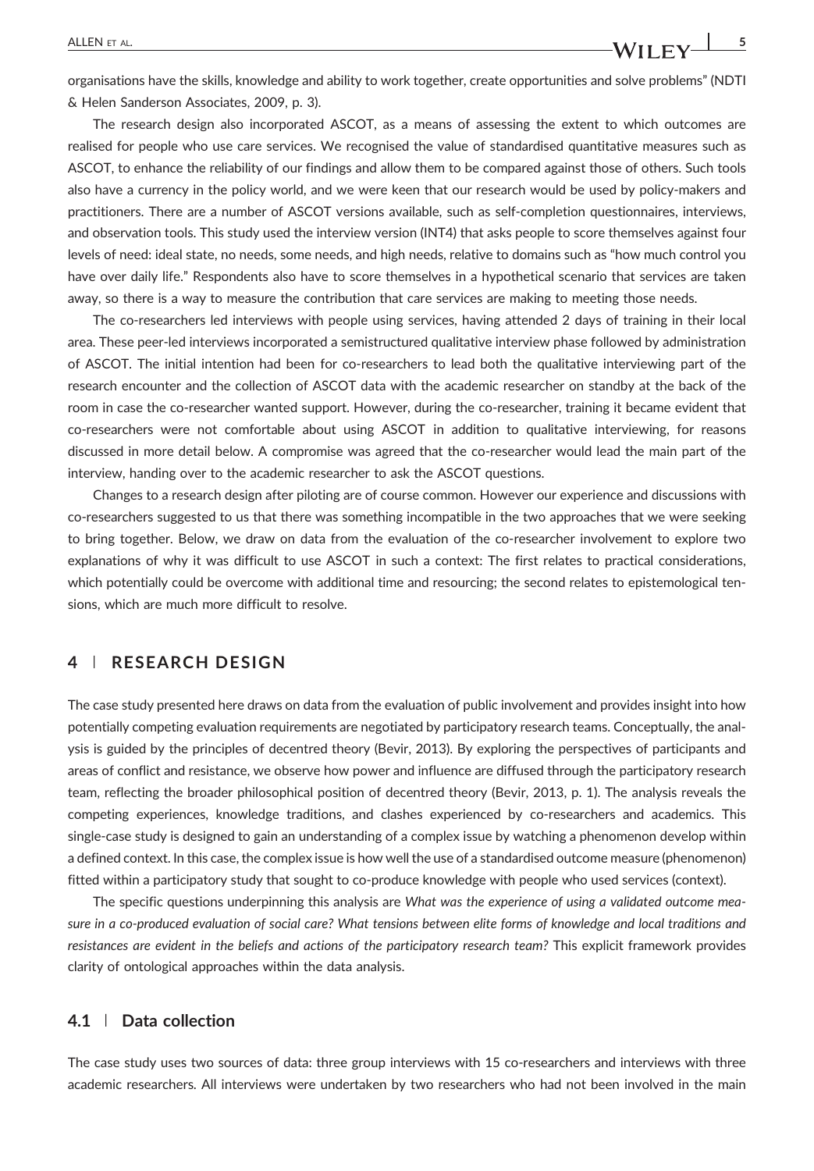organisations have the skills, knowledge and ability to work together, create opportunities and solve problems" (NDTI & Helen Sanderson Associates, 2009, p. 3).

The research design also incorporated ASCOT, as a means of assessing the extent to which outcomes are realised for people who use care services. We recognised the value of standardised quantitative measures such as ASCOT, to enhance the reliability of our findings and allow them to be compared against those of others. Such tools also have a currency in the policy world, and we were keen that our research would be used by policy‐makers and practitioners. There are a number of ASCOT versions available, such as self‐completion questionnaires, interviews, and observation tools. This study used the interview version (INT4) that asks people to score themselves against four levels of need: ideal state, no needs, some needs, and high needs, relative to domains such as "how much control you have over daily life." Respondents also have to score themselves in a hypothetical scenario that services are taken away, so there is a way to measure the contribution that care services are making to meeting those needs.

The co-researchers led interviews with people using services, having attended 2 days of training in their local area. These peer‐led interviews incorporated a semistructured qualitative interview phase followed by administration of ASCOT. The initial intention had been for co-researchers to lead both the qualitative interviewing part of the research encounter and the collection of ASCOT data with the academic researcher on standby at the back of the room in case the co-researcher wanted support. However, during the co-researcher, training it became evident that co-researchers were not comfortable about using ASCOT in addition to qualitative interviewing, for reasons discussed in more detail below. A compromise was agreed that the co-researcher would lead the main part of the interview, handing over to the academic researcher to ask the ASCOT questions.

Changes to a research design after piloting are of course common. However our experience and discussions with co-researchers suggested to us that there was something incompatible in the two approaches that we were seeking to bring together. Below, we draw on data from the evaluation of the co-researcher involvement to explore two explanations of why it was difficult to use ASCOT in such a context: The first relates to practical considerations, which potentially could be overcome with additional time and resourcing; the second relates to epistemological tensions, which are much more difficult to resolve.

# **4** | **RESEARCH DESIGN**

The case study presented here draws on data from the evaluation of public involvement and provides insight into how potentially competing evaluation requirements are negotiated by participatory research teams. Conceptually, the analysis is guided by the principles of decentred theory (Bevir, 2013). By exploring the perspectives of participants and areas of conflict and resistance, we observe how power and influence are diffused through the participatory research team, reflecting the broader philosophical position of decentred theory (Bevir, 2013, p. 1). The analysis reveals the competing experiences, knowledge traditions, and clashes experienced by co-researchers and academics. This single-case study is designed to gain an understanding of a complex issue by watching a phenomenon develop within a defined context. In this case, the complex issue is how well the use of a standardised outcome measure (phenomenon) fitted within a participatory study that sought to co-produce knowledge with people who used services (context).

The specific questions underpinning this analysis are *What was the experience of using a validated outcome measure in a co‐produced evaluation of social care? What tensions between elite forms of knowledge and local traditions and resistances are evident in the beliefs and actions of the participatory research team?* This explicit framework provides clarity of ontological approaches within the data analysis.

#### **4.1** | **Data collection**

The case study uses two sources of data: three group interviews with 15 co-researchers and interviews with three academic researchers. All interviews were undertaken by two researchers who had not been involved in the main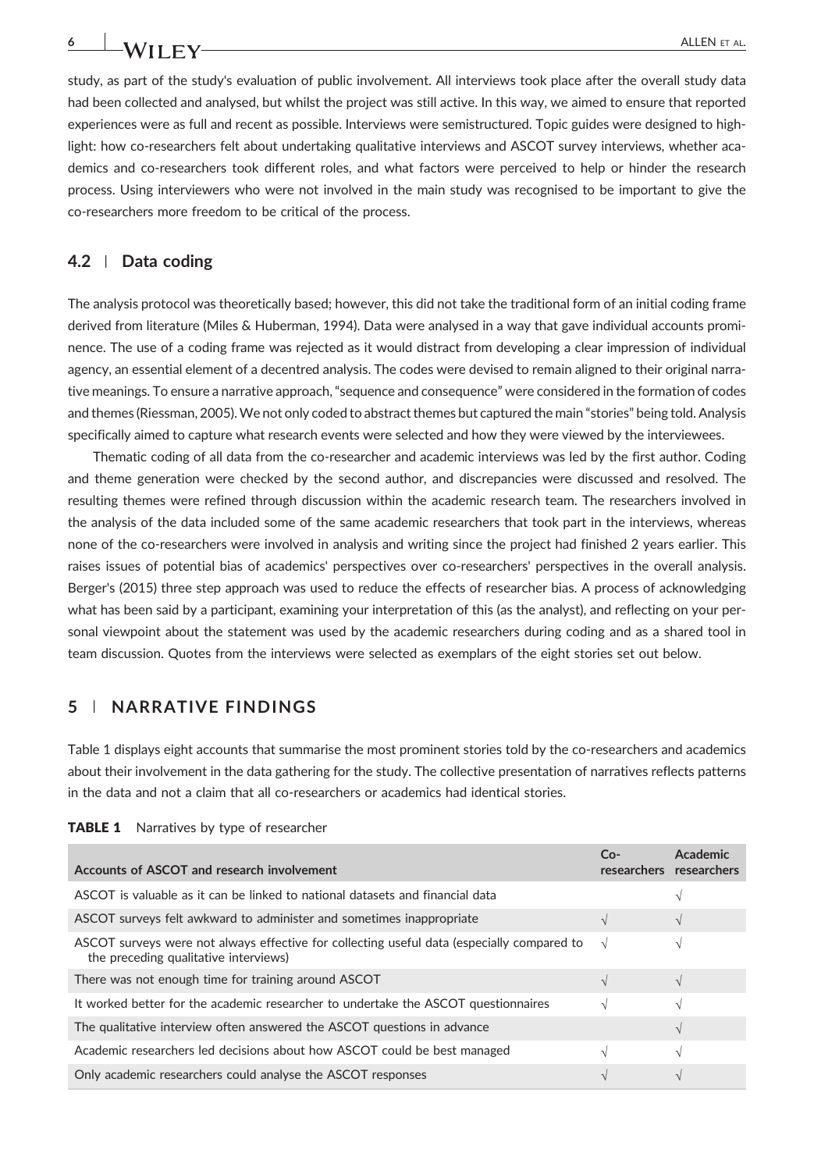study, as part of the study's evaluation of public involvement. All interviews took place after the overall study data had been collected and analysed, but whilst the project was still active. In this way, we aimed to ensure that reported experiences were as full and recent as possible. Interviews were semistructured. Topic guides were designed to highlight: how co-researchers felt about undertaking qualitative interviews and ASCOT survey interviews, whether academics and co-researchers took different roles, and what factors were perceived to help or hinder the research process. Using interviewers who were not involved in the main study was recognised to be important to give the co‐researchers more freedom to be critical of the process.

# **4.2** | **Data coding**

The analysis protocol was theoretically based; however, this did not take the traditional form of an initial coding frame derived from literature (Miles & Huberman, 1994). Data were analysed in a way that gave individual accounts prominence. The use of a coding frame was rejected as it would distract from developing a clear impression of individual agency, an essential element of a decentred analysis. The codes were devised to remain aligned to their original narrative meanings. To ensure a narrative approach,"sequence and consequence" were considered in the formation of codes and themes (Riessman, 2005).We not only coded to abstract themes but captured the main "stories" being told. Analysis specifically aimed to capture what research events were selected and how they were viewed by the interviewees.

Thematic coding of all data from the co-researcher and academic interviews was led by the first author. Coding and theme generation were checked by the second author, and discrepancies were discussed and resolved. The resulting themes were refined through discussion within the academic research team. The researchers involved in the analysis of the data included some of the same academic researchers that took part in the interviews, whereas none of the co-researchers were involved in analysis and writing since the project had finished 2 years earlier. This raises issues of potential bias of academics' perspectives over co-researchers' perspectives in the overall analysis. Berger's (2015) three step approach was used to reduce the effects of researcher bias. A process of acknowledging what has been said by a participant, examining your interpretation of this (as the analyst), and reflecting on your personal viewpoint about the statement was used by the academic researchers during coding and as a shared tool in team discussion. Quotes from the interviews were selected as exemplars of the eight stories set out below.

# **5** | **NARRATIVE FINDINGS**

Table 1 displays eight accounts that summarise the most prominent stories told by the co-researchers and academics about their involvement in the data gathering for the study. The collective presentation of narratives reflects patterns in the data and not a claim that all co-researchers or academics had identical stories.

| Accounts of ASCOT and research involvement                                                                                          | $Co-$         | Academic<br>researchers researchers |
|-------------------------------------------------------------------------------------------------------------------------------------|---------------|-------------------------------------|
| ASCOT is valuable as it can be linked to national datasets and financial data                                                       |               | N                                   |
| ASCOT surveys felt awkward to administer and sometimes inappropriate                                                                | $\sqrt{ }$    | V                                   |
| ASCOT surveys were not always effective for collecting useful data (especially compared to<br>the preceding qualitative interviews) | $\sqrt{ }$    |                                     |
| There was not enough time for training around ASCOT                                                                                 | $\sqrt{ }$    | $\sqrt{ }$                          |
| It worked better for the academic researcher to undertake the ASCOT questionnaires                                                  | $\sqrt{ }$    |                                     |
| The qualitative interview often answered the ASCOT questions in advance                                                             |               | $\sqrt{ }$                          |
| Academic researchers led decisions about how ASCOT could be best managed                                                            | $\sim$        | N                                   |
| Only academic researchers could analyse the ASCOT responses                                                                         | $\mathcal{N}$ | $\gamma$                            |

**TABLE 1** Narratives by type of researcher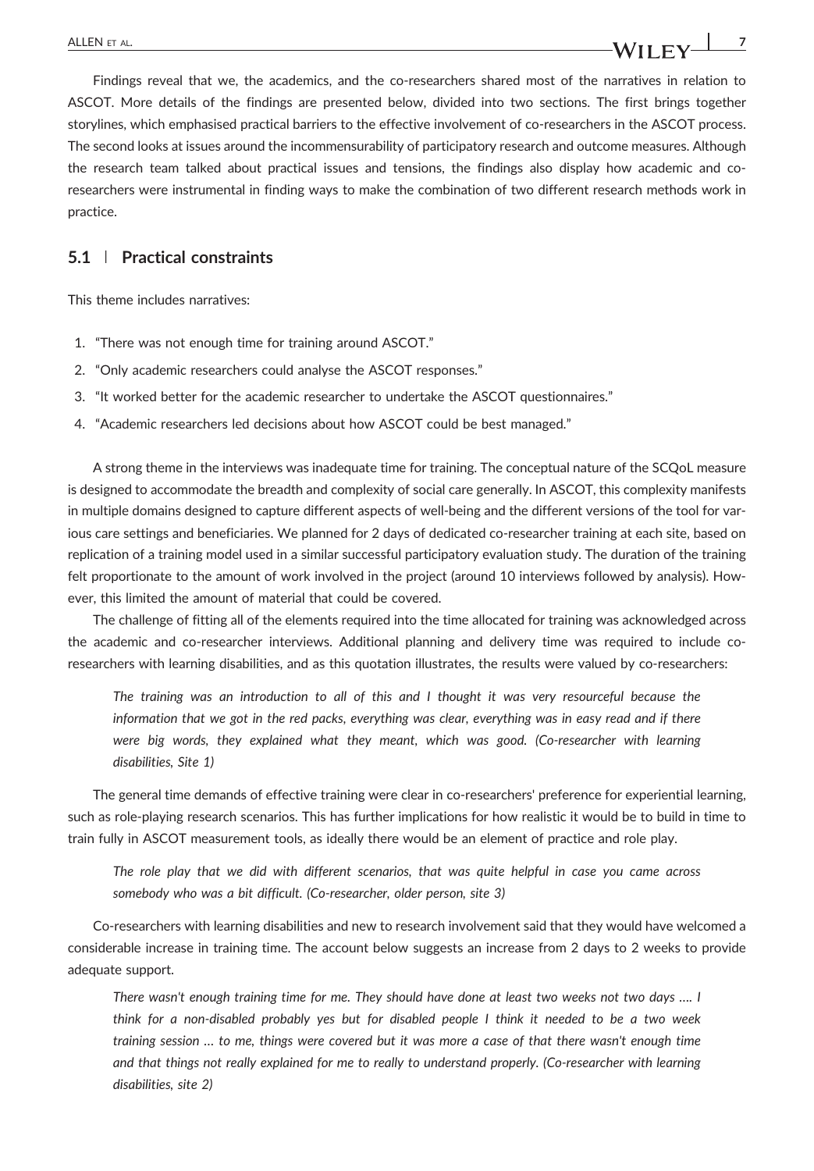Findings reveal that we, the academics, and the co-researchers shared most of the narratives in relation to ASCOT. More details of the findings are presented below, divided into two sections. The first brings together storylines, which emphasised practical barriers to the effective involvement of co-researchers in the ASCOT process. The second looks at issues around the incommensurability of participatory research and outcome measures. Although the research team talked about practical issues and tensions, the findings also display how academic and co‐ researchers were instrumental in finding ways to make the combination of two different research methods work in practice.

# **5.1** | **Practical constraints**

This theme includes narratives:

- 1. "There was not enough time for training around ASCOT."
- 2. "Only academic researchers could analyse the ASCOT responses."
- 3. "It worked better for the academic researcher to undertake the ASCOT questionnaires."
- 4. "Academic researchers led decisions about how ASCOT could be best managed."

A strong theme in the interviews was inadequate time for training. The conceptual nature of the SCQoL measure is designed to accommodate the breadth and complexity of social care generally. In ASCOT, this complexity manifests in multiple domains designed to capture different aspects of well‐being and the different versions of the tool for various care settings and beneficiaries. We planned for 2 days of dedicated co-researcher training at each site, based on replication of a training model used in a similar successful participatory evaluation study. The duration of the training felt proportionate to the amount of work involved in the project (around 10 interviews followed by analysis). However, this limited the amount of material that could be covered.

The challenge of fitting all of the elements required into the time allocated for training was acknowledged across the academic and co-researcher interviews. Additional planning and delivery time was required to include coresearchers with learning disabilities, and as this quotation illustrates, the results were valued by co-researchers:

*The training was an introduction to all of this and I thought it was very resourceful because the information that we got in the red packs, everything was clear, everything was in easy read and if there were big words, they explained what they meant, which was good. (Co-researcher with learning disabilities, Site 1)*

The general time demands of effective training were clear in co-researchers' preference for experiential learning, such as role‐playing research scenarios. This has further implications for how realistic it would be to build in time to train fully in ASCOT measurement tools, as ideally there would be an element of practice and role play.

*The role play that we did with different scenarios, that was quite helpful in case you came across somebody who was a bit difficult. (Co‐researcher, older person, site 3)*

Co-researchers with learning disabilities and new to research involvement said that they would have welcomed a considerable increase in training time. The account below suggests an increase from 2 days to 2 weeks to provide adequate support.

*There wasn't enough training time for me. They should have done at least two weeks not two days …. I think for a non‐disabled probably yes but for disabled people I think it needed to be a two week training session … to me, things were covered but it was more a case of that there wasn't enough time and that things not really explained for me to really to understand properly. (Co‐researcher with learning disabilities, site 2)*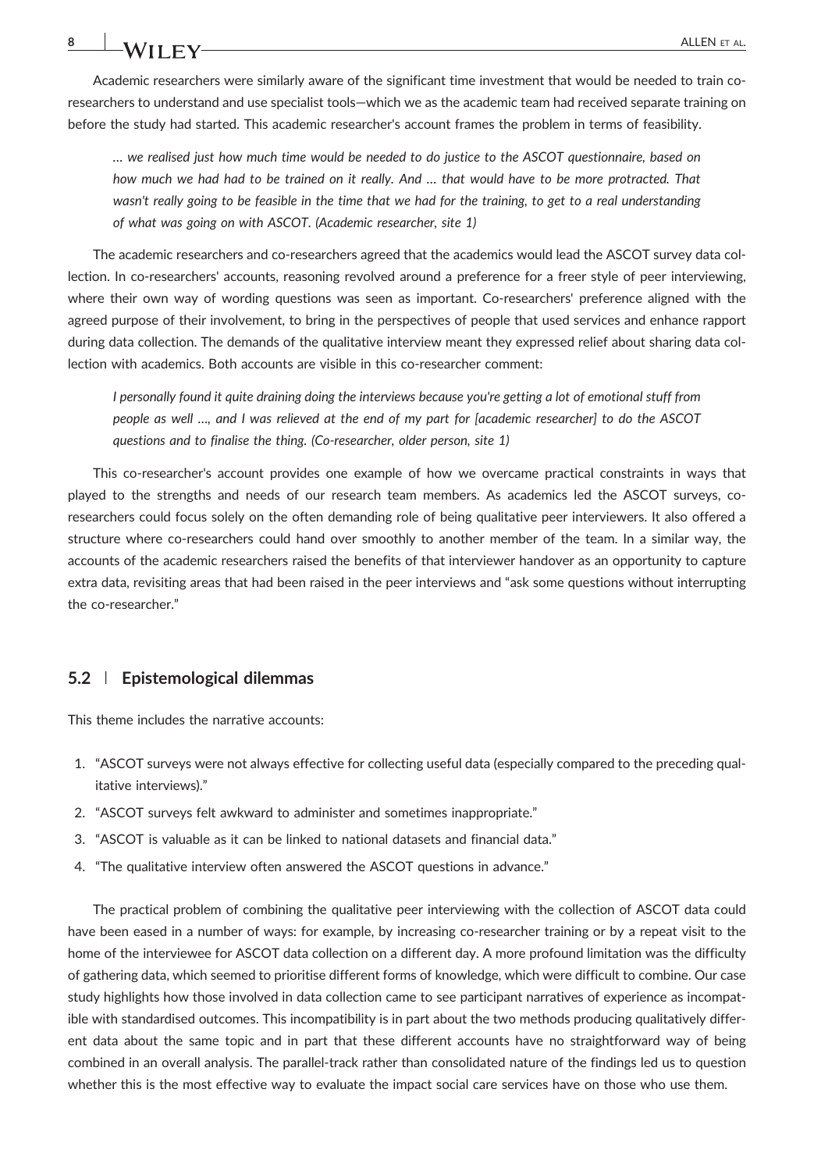Academic researchers were similarly aware of the significant time investment that would be needed to train co‐ researchers to understand and use specialist tools—which we as the academic team had received separate training on before the study had started. This academic researcher's account frames the problem in terms of feasibility.

*… we realised just how much time would be needed to do justice to the ASCOT questionnaire, based on how much we had had to be trained on it really. And … that would have to be more protracted. That wasn't really going to be feasible in the time that we had for the training, to get to a real understanding of what was going on with ASCOT. (Academic researcher, site 1)*

The academic researchers and co-researchers agreed that the academics would lead the ASCOT survey data collection. In co-researchers' accounts, reasoning revolved around a preference for a freer style of peer interviewing, where their own way of wording questions was seen as important. Co-researchers' preference aligned with the agreed purpose of their involvement, to bring in the perspectives of people that used services and enhance rapport during data collection. The demands of the qualitative interview meant they expressed relief about sharing data collection with academics. Both accounts are visible in this co-researcher comment:

*I personally found it quite draining doing the interviews because you're getting a lot of emotional stuff from people as well …, and I was relieved at the end of my part for [academic researcher] to do the ASCOT questions and to finalise the thing. (Co‐researcher, older person, site 1)*

This co-researcher's account provides one example of how we overcame practical constraints in ways that played to the strengths and needs of our research team members. As academics led the ASCOT surveys, coresearchers could focus solely on the often demanding role of being qualitative peer interviewers. It also offered a structure where co-researchers could hand over smoothly to another member of the team. In a similar way, the accounts of the academic researchers raised the benefits of that interviewer handover as an opportunity to capture extra data, revisiting areas that had been raised in the peer interviews and "ask some questions without interrupting the co‐researcher."

### **5.2** | **Epistemological dilemmas**

This theme includes the narrative accounts:

- 1. "ASCOT surveys were not always effective for collecting useful data (especially compared to the preceding qualitative interviews)."
- 2. "ASCOT surveys felt awkward to administer and sometimes inappropriate."
- 3. "ASCOT is valuable as it can be linked to national datasets and financial data."
- 4. "The qualitative interview often answered the ASCOT questions in advance."

The practical problem of combining the qualitative peer interviewing with the collection of ASCOT data could have been eased in a number of ways: for example, by increasing co-researcher training or by a repeat visit to the home of the interviewee for ASCOT data collection on a different day. A more profound limitation was the difficulty of gathering data, which seemed to prioritise different forms of knowledge, which were difficult to combine. Our case study highlights how those involved in data collection came to see participant narratives of experience as incompatible with standardised outcomes. This incompatibility is in part about the two methods producing qualitatively different data about the same topic and in part that these different accounts have no straightforward way of being combined in an overall analysis. The parallel‐track rather than consolidated nature of the findings led us to question whether this is the most effective way to evaluate the impact social care services have on those who use them.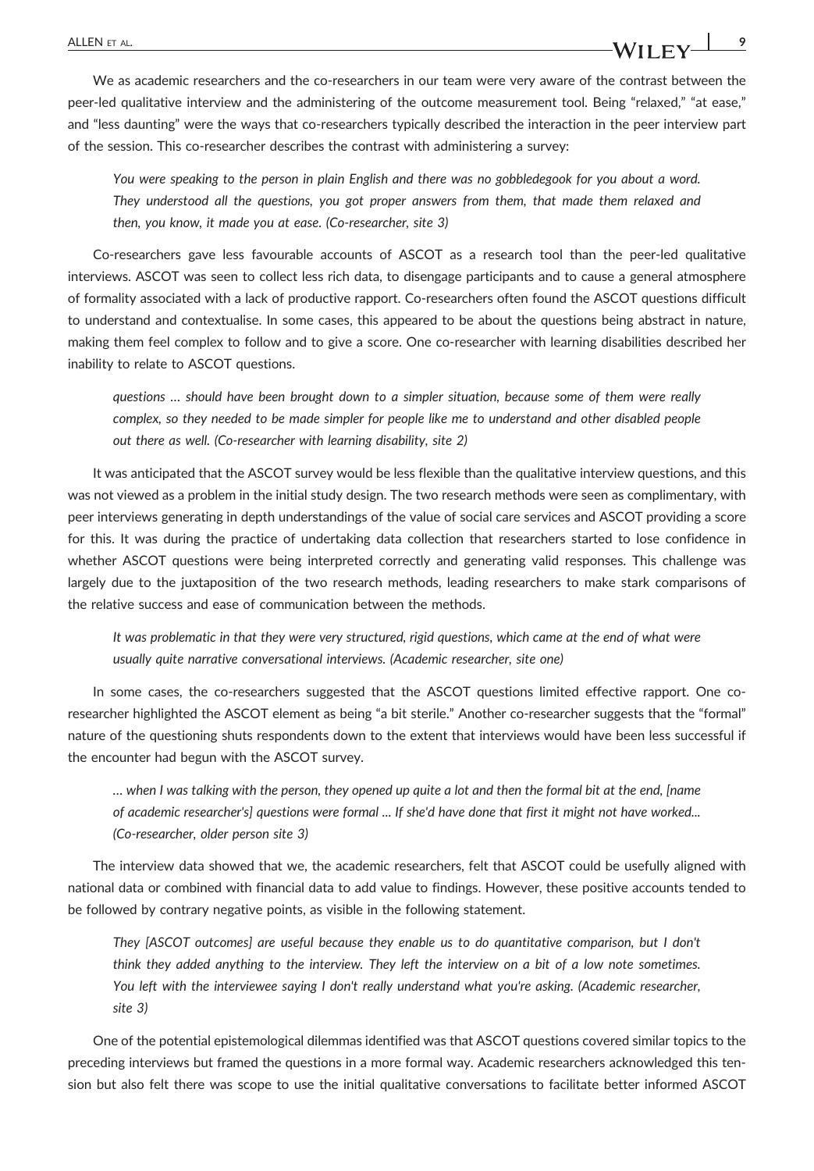We as academic researchers and the co-researchers in our team were very aware of the contrast between the peer-led qualitative interview and the administering of the outcome measurement tool. Being "relaxed," "at ease," and "less daunting" were the ways that co-researchers typically described the interaction in the peer interview part of the session. This co-researcher describes the contrast with administering a survey:

*You were speaking to the person in plain English and there was no gobbledegook for you about a word. They understood all the questions, you got proper answers from them, that made them relaxed and then, you know, it made you at ease. (Co‐researcher, site 3)*

Co-researchers gave less favourable accounts of ASCOT as a research tool than the peer-led qualitative interviews. ASCOT was seen to collect less rich data, to disengage participants and to cause a general atmosphere of formality associated with a lack of productive rapport. Co‐researchers often found the ASCOT questions difficult to understand and contextualise. In some cases, this appeared to be about the questions being abstract in nature, making them feel complex to follow and to give a score. One co-researcher with learning disabilities described her inability to relate to ASCOT questions.

*questions … should have been brought down to a simpler situation, because some of them were really complex, so they needed to be made simpler for people like me to understand and other disabled people out there as well. (Co‐researcher with learning disability, site 2)*

It was anticipated that the ASCOT survey would be less flexible than the qualitative interview questions, and this was not viewed as a problem in the initial study design. The two research methods were seen as complimentary, with peer interviews generating in depth understandings of the value of social care services and ASCOT providing a score for this. It was during the practice of undertaking data collection that researchers started to lose confidence in whether ASCOT questions were being interpreted correctly and generating valid responses. This challenge was largely due to the juxtaposition of the two research methods, leading researchers to make stark comparisons of the relative success and ease of communication between the methods.

*It was problematic in that they were very structured, rigid questions, which came at the end of what were usually quite narrative conversational interviews. (Academic researcher, site one)*

In some cases, the co-researchers suggested that the ASCOT questions limited effective rapport. One coresearcher highlighted the ASCOT element as being "a bit sterile." Another co-researcher suggests that the "formal" nature of the questioning shuts respondents down to the extent that interviews would have been less successful if the encounter had begun with the ASCOT survey.

*… when I was talking with the person, they opened up quite a lot and then the formal bit at the end, [name of academic researcher's] questions were formal ... If she'd have done that first it might not have worked... (Co‐researcher, older person site 3)*

The interview data showed that we, the academic researchers, felt that ASCOT could be usefully aligned with national data or combined with financial data to add value to findings. However, these positive accounts tended to be followed by contrary negative points, as visible in the following statement.

*They [ASCOT outcomes] are useful because they enable us to do quantitative comparison, but I don't think they added anything to the interview. They left the interview on a bit of a low note sometimes. You left with the interviewee saying I don't really understand what you're asking. (Academic researcher, site 3)*

One of the potential epistemological dilemmas identified was that ASCOT questions covered similar topics to the preceding interviews but framed the questions in a more formal way. Academic researchers acknowledged this tension but also felt there was scope to use the initial qualitative conversations to facilitate better informed ASCOT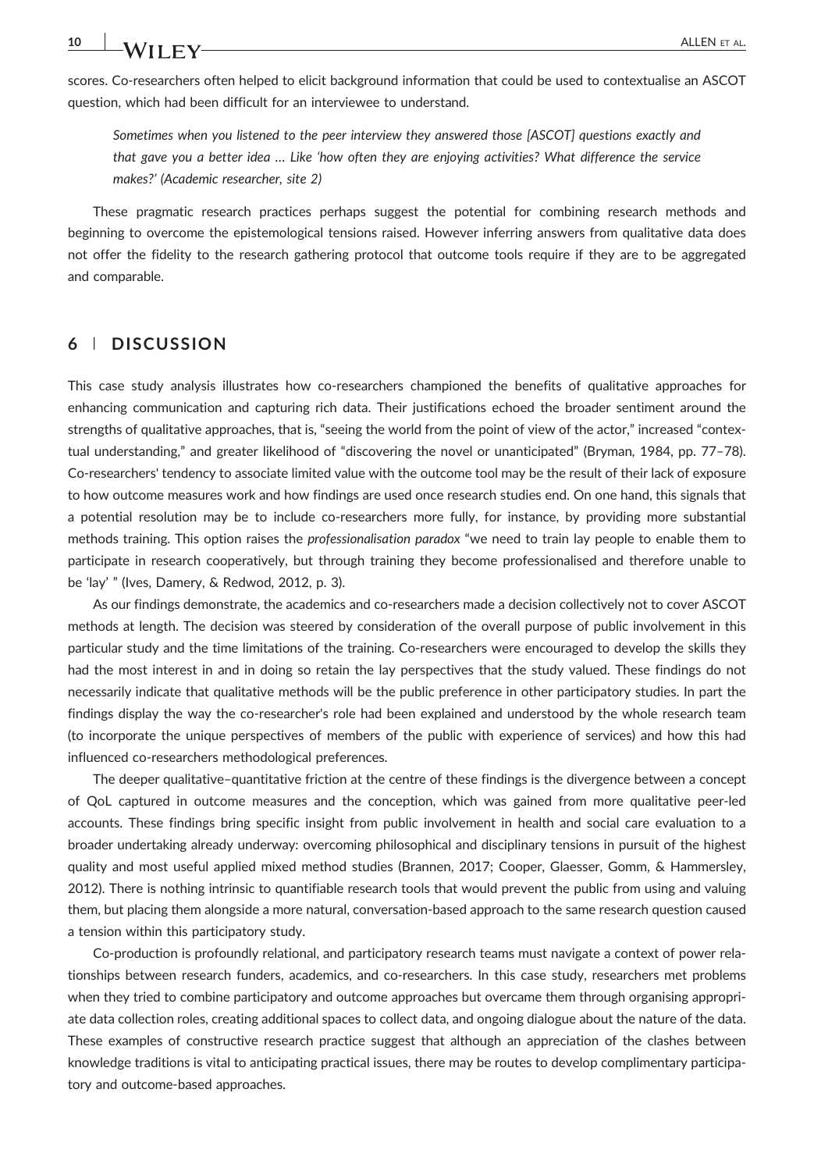scores. Co-researchers often helped to elicit background information that could be used to contextualise an ASCOT question, which had been difficult for an interviewee to understand.

*Sometimes when you listened to the peer interview they answered those [ASCOT] questions exactly and that gave you a better idea … Like 'how often they are enjoying activities? What difference the service makes?' (Academic researcher, site 2)*

These pragmatic research practices perhaps suggest the potential for combining research methods and beginning to overcome the epistemological tensions raised. However inferring answers from qualitative data does not offer the fidelity to the research gathering protocol that outcome tools require if they are to be aggregated and comparable.

### **6** | **DISCUSSION**

This case study analysis illustrates how co‐researchers championed the benefits of qualitative approaches for enhancing communication and capturing rich data. Their justifications echoed the broader sentiment around the strengths of qualitative approaches, that is, "seeing the world from the point of view of the actor," increased "contextual understanding," and greater likelihood of "discovering the novel or unanticipated" (Bryman, 1984, pp. 77–78). Co-researchers' tendency to associate limited value with the outcome tool may be the result of their lack of exposure to how outcome measures work and how findings are used once research studies end. On one hand, this signals that a potential resolution may be to include co-researchers more fully, for instance, by providing more substantial methods training. This option raises the *professionalisation paradox* "we need to train lay people to enable them to participate in research cooperatively, but through training they become professionalised and therefore unable to be 'lay' " (Ives, Damery, & Redwod, 2012, p. 3).

As our findings demonstrate, the academics and co-researchers made a decision collectively not to cover ASCOT methods at length. The decision was steered by consideration of the overall purpose of public involvement in this particular study and the time limitations of the training. Co-researchers were encouraged to develop the skills they had the most interest in and in doing so retain the lay perspectives that the study valued. These findings do not necessarily indicate that qualitative methods will be the public preference in other participatory studies. In part the findings display the way the co-researcher's role had been explained and understood by the whole research team (to incorporate the unique perspectives of members of the public with experience of services) and how this had influenced co-researchers methodological preferences.

The deeper qualitative–quantitative friction at the centre of these findings is the divergence between a concept of QoL captured in outcome measures and the conception, which was gained from more qualitative peer‐led accounts. These findings bring specific insight from public involvement in health and social care evaluation to a broader undertaking already underway: overcoming philosophical and disciplinary tensions in pursuit of the highest quality and most useful applied mixed method studies (Brannen, 2017; Cooper, Glaesser, Gomm, & Hammersley, 2012). There is nothing intrinsic to quantifiable research tools that would prevent the public from using and valuing them, but placing them alongside a more natural, conversation‐based approach to the same research question caused a tension within this participatory study.

Co‐production is profoundly relational, and participatory research teams must navigate a context of power relationships between research funders, academics, and co-researchers. In this case study, researchers met problems when they tried to combine participatory and outcome approaches but overcame them through organising appropriate data collection roles, creating additional spaces to collect data, and ongoing dialogue about the nature of the data. These examples of constructive research practice suggest that although an appreciation of the clashes between knowledge traditions is vital to anticipating practical issues, there may be routes to develop complimentary participatory and outcome‐based approaches.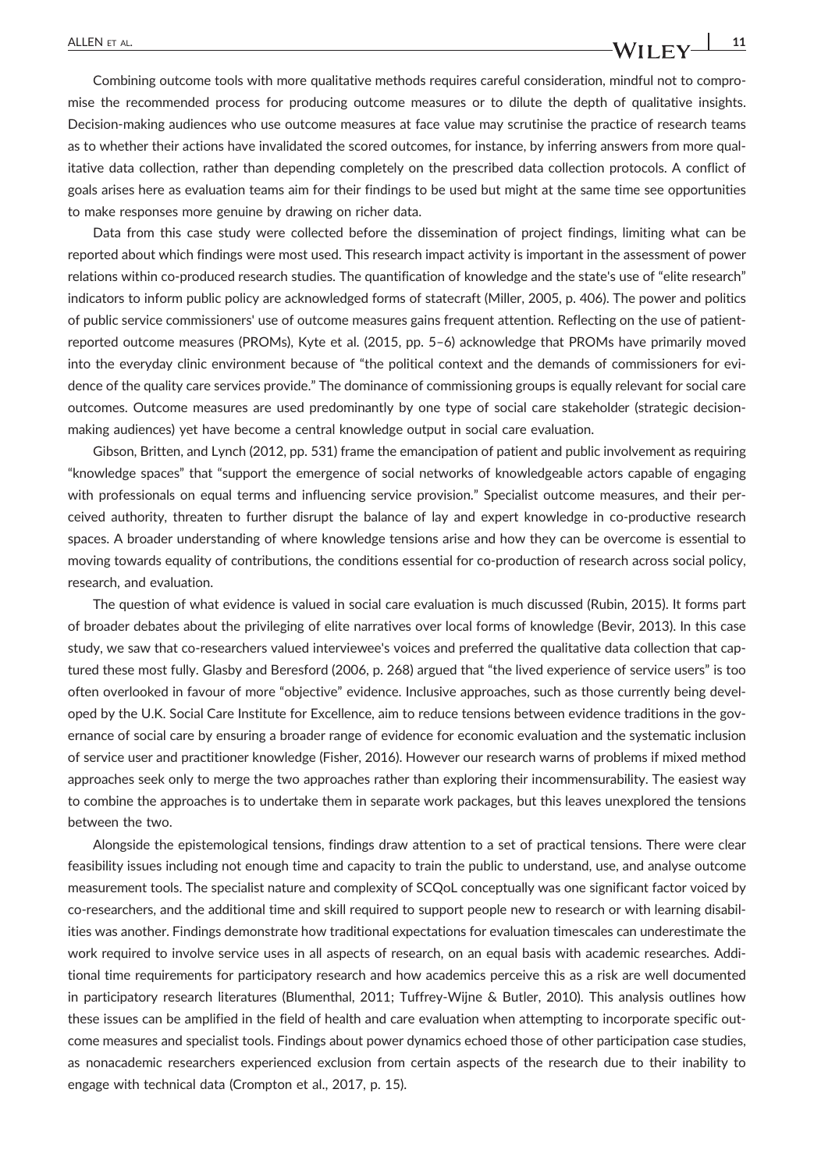Combining outcome tools with more qualitative methods requires careful consideration, mindful not to compromise the recommended process for producing outcome measures or to dilute the depth of qualitative insights. Decision‐making audiences who use outcome measures at face value may scrutinise the practice of research teams as to whether their actions have invalidated the scored outcomes, for instance, by inferring answers from more qualitative data collection, rather than depending completely on the prescribed data collection protocols. A conflict of goals arises here as evaluation teams aim for their findings to be used but might at the same time see opportunities to make responses more genuine by drawing on richer data.

Data from this case study were collected before the dissemination of project findings, limiting what can be reported about which findings were most used. This research impact activity is important in the assessment of power relations within co-produced research studies. The quantification of knowledge and the state's use of "elite research" indicators to inform public policy are acknowledged forms of statecraft (Miller, 2005, p. 406). The power and politics of public service commissioners' use of outcome measures gains frequent attention. Reflecting on the use of patient‐ reported outcome measures (PROMs), Kyte et al. (2015, pp. 5–6) acknowledge that PROMs have primarily moved into the everyday clinic environment because of "the political context and the demands of commissioners for evidence of the quality care services provide." The dominance of commissioning groups is equally relevant for social care outcomes. Outcome measures are used predominantly by one type of social care stakeholder (strategic decision‐ making audiences) yet have become a central knowledge output in social care evaluation.

Gibson, Britten, and Lynch (2012, pp. 531) frame the emancipation of patient and public involvement as requiring "knowledge spaces" that "support the emergence of social networks of knowledgeable actors capable of engaging with professionals on equal terms and influencing service provision." Specialist outcome measures, and their perceived authority, threaten to further disrupt the balance of lay and expert knowledge in co-productive research spaces. A broader understanding of where knowledge tensions arise and how they can be overcome is essential to moving towards equality of contributions, the conditions essential for co-production of research across social policy, research, and evaluation.

The question of what evidence is valued in social care evaluation is much discussed (Rubin, 2015). It forms part of broader debates about the privileging of elite narratives over local forms of knowledge (Bevir, 2013). In this case study, we saw that co-researchers valued interviewee's voices and preferred the qualitative data collection that captured these most fully. Glasby and Beresford (2006, p. 268) argued that "the lived experience of service users" is too often overlooked in favour of more "objective" evidence. Inclusive approaches, such as those currently being developed by the U.K. Social Care Institute for Excellence, aim to reduce tensions between evidence traditions in the governance of social care by ensuring a broader range of evidence for economic evaluation and the systematic inclusion of service user and practitioner knowledge (Fisher, 2016). However our research warns of problems if mixed method approaches seek only to merge the two approaches rather than exploring their incommensurability. The easiest way to combine the approaches is to undertake them in separate work packages, but this leaves unexplored the tensions between the two.

Alongside the epistemological tensions, findings draw attention to a set of practical tensions. There were clear feasibility issues including not enough time and capacity to train the public to understand, use, and analyse outcome measurement tools. The specialist nature and complexity of SCQoL conceptually was one significant factor voiced by co-researchers, and the additional time and skill required to support people new to research or with learning disabilities was another. Findings demonstrate how traditional expectations for evaluation timescales can underestimate the work required to involve service uses in all aspects of research, on an equal basis with academic researches. Additional time requirements for participatory research and how academics perceive this as a risk are well documented in participatory research literatures (Blumenthal, 2011; Tuffrey‐Wijne & Butler, 2010). This analysis outlines how these issues can be amplified in the field of health and care evaluation when attempting to incorporate specific outcome measures and specialist tools. Findings about power dynamics echoed those of other participation case studies, as nonacademic researchers experienced exclusion from certain aspects of the research due to their inability to engage with technical data (Crompton et al., 2017, p. 15).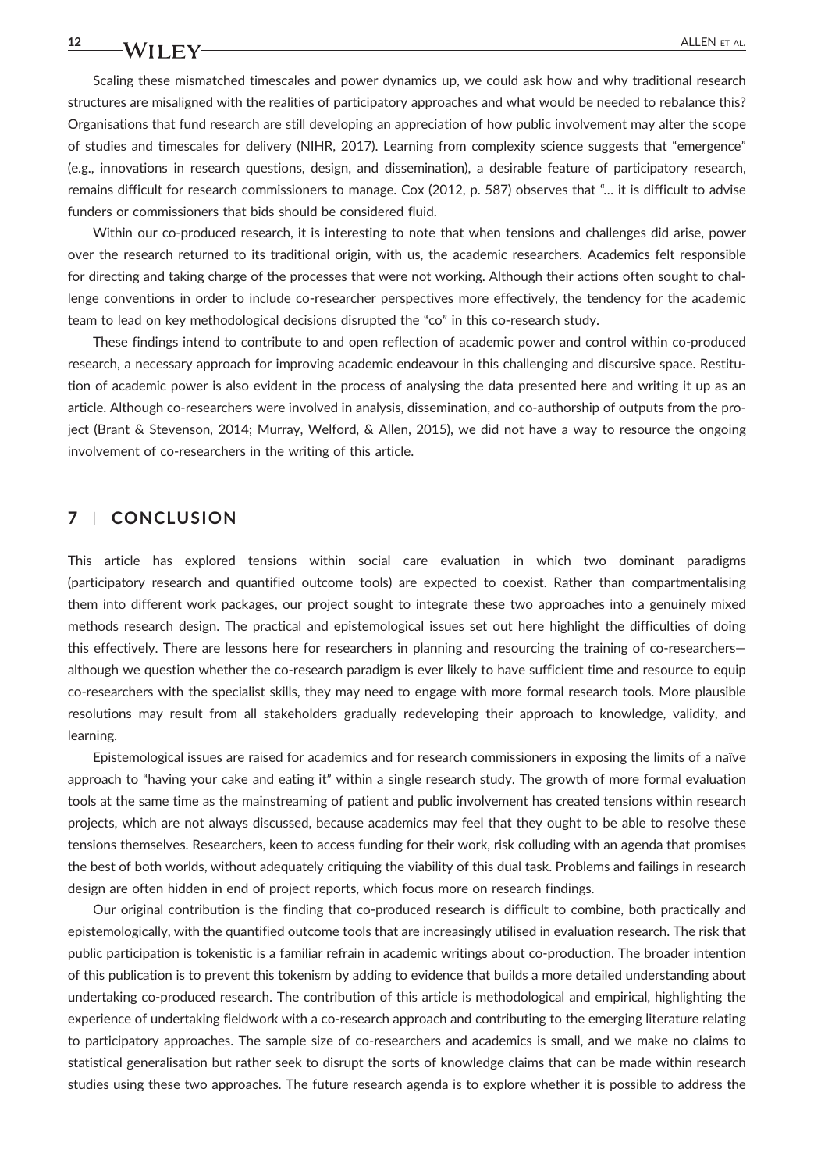Scaling these mismatched timescales and power dynamics up, we could ask how and why traditional research structures are misaligned with the realities of participatory approaches and what would be needed to rebalance this? Organisations that fund research are still developing an appreciation of how public involvement may alter the scope of studies and timescales for delivery (NIHR, 2017). Learning from complexity science suggests that "emergence" (e.g., innovations in research questions, design, and dissemination), a desirable feature of participatory research, remains difficult for research commissioners to manage. Cox (2012, p. 587) observes that "… it is difficult to advise funders or commissioners that bids should be considered fluid.

Within our co-produced research, it is interesting to note that when tensions and challenges did arise, power over the research returned to its traditional origin, with us, the academic researchers. Academics felt responsible for directing and taking charge of the processes that were not working. Although their actions often sought to challenge conventions in order to include co-researcher perspectives more effectively, the tendency for the academic team to lead on key methodological decisions disrupted the "co" in this co-research study.

These findings intend to contribute to and open reflection of academic power and control within co-produced research, a necessary approach for improving academic endeavour in this challenging and discursive space. Restitution of academic power is also evident in the process of analysing the data presented here and writing it up as an article. Although co-researchers were involved in analysis, dissemination, and co-authorship of outputs from the project (Brant & Stevenson, 2014; Murray, Welford, & Allen, 2015), we did not have a way to resource the ongoing involvement of co-researchers in the writing of this article.

# **7** | **CONCLUSION**

This article has explored tensions within social care evaluation in which two dominant paradigms (participatory research and quantified outcome tools) are expected to coexist. Rather than compartmentalising them into different work packages, our project sought to integrate these two approaches into a genuinely mixed methods research design. The practical and epistemological issues set out here highlight the difficulties of doing this effectively. There are lessons here for researchers in planning and resourcing the training of co-researchersalthough we question whether the co-research paradigm is ever likely to have sufficient time and resource to equip co-researchers with the specialist skills, they may need to engage with more formal research tools. More plausible resolutions may result from all stakeholders gradually redeveloping their approach to knowledge, validity, and learning.

Epistemological issues are raised for academics and for research commissioners in exposing the limits of a naïve approach to "having your cake and eating it" within a single research study. The growth of more formal evaluation tools at the same time as the mainstreaming of patient and public involvement has created tensions within research projects, which are not always discussed, because academics may feel that they ought to be able to resolve these tensions themselves. Researchers, keen to access funding for their work, risk colluding with an agenda that promises the best of both worlds, without adequately critiquing the viability of this dual task. Problems and failings in research design are often hidden in end of project reports, which focus more on research findings.

Our original contribution is the finding that co-produced research is difficult to combine, both practically and epistemologically, with the quantified outcome tools that are increasingly utilised in evaluation research. The risk that public participation is tokenistic is a familiar refrain in academic writings about co-production. The broader intention of this publication is to prevent this tokenism by adding to evidence that builds a more detailed understanding about undertaking co‐produced research. The contribution of this article is methodological and empirical, highlighting the experience of undertaking fieldwork with a co-research approach and contributing to the emerging literature relating to participatory approaches. The sample size of co-researchers and academics is small, and we make no claims to statistical generalisation but rather seek to disrupt the sorts of knowledge claims that can be made within research studies using these two approaches. The future research agenda is to explore whether it is possible to address the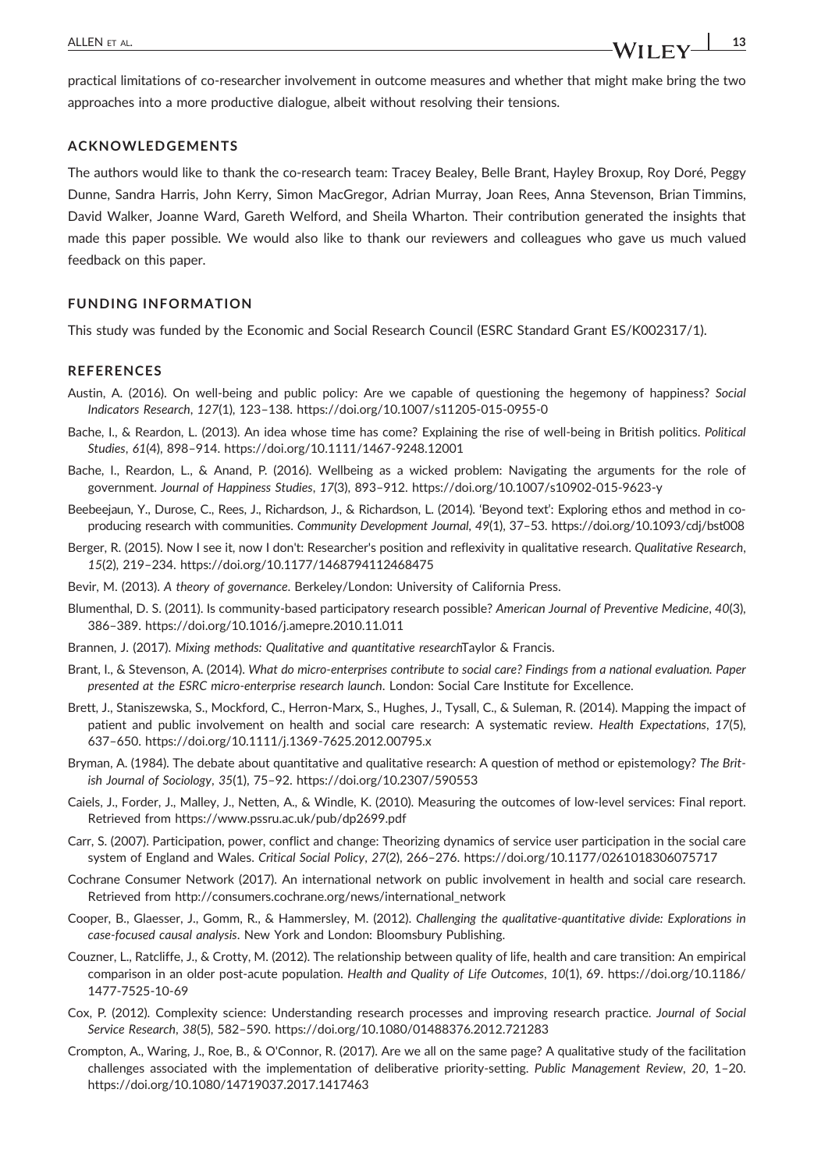practical limitations of co‐researcher involvement in outcome measures and whether that might make bring the two approaches into a more productive dialogue, albeit without resolving their tensions.

#### **ACKNOWLEDGEMENTS**

The authors would like to thank the co‐research team: Tracey Bealey, Belle Brant, Hayley Broxup, Roy Doré, Peggy Dunne, Sandra Harris, John Kerry, Simon MacGregor, Adrian Murray, Joan Rees, Anna Stevenson, Brian Timmins, David Walker, Joanne Ward, Gareth Welford, and Sheila Wharton. Their contribution generated the insights that made this paper possible. We would also like to thank our reviewers and colleagues who gave us much valued feedback on this paper.

#### **FUNDING INFORMATION**

This study was funded by the Economic and Social Research Council (ESRC Standard Grant ES/K002317/1).

#### **REFERENCES**

- Austin, A. (2016). On well‐being and public policy: Are we capable of questioning the hegemony of happiness? *Social Indicators Research*, *127*(1), 123–138. [https://doi.org/10.1007/s11205](https://doi.org/10.1007/s11205-015-0955-0)‐015‐0955‐0
- Bache, I., & Reardon, L. (2013). An idea whose time has come? Explaining the rise of well‐being in British politics. *Political Studies*, *61*(4), 898–914. [https://doi.org/10.1111/1467](https://doi.org/10.1111/1467-9248.12001)‐9248.12001
- Bache, I., Reardon, L., & Anand, P. (2016). Wellbeing as a wicked problem: Navigating the arguments for the role of government. *Journal of Happiness Studies*, *17*(3), 893–912. [https://doi.org/10.1007/s10902](https://doi.org/10.1007/s10902-015-9623-y)‐015‐9623‐y
- Beebeejaun, Y., Durose, C., Rees, J., Richardson, J., & Richardson, L. (2014). 'Beyond text': Exploring ethos and method in coproducing research with communities. *Community Development Journal*, *49*(1), 37–53.<https://doi.org/10.1093/cdj/bst008>
- Berger, R. (2015). Now I see it, now I don't: Researcher's position and reflexivity in qualitative research. *Qualitative Research*, *15*(2), 219–234.<https://doi.org/10.1177/1468794112468475>
- Bevir, M. (2013). *A theory of governance*. Berkeley/London: University of California Press.
- Blumenthal, D. S. (2011). Is community‐based participatory research possible? *American Journal of Preventive Medicine*, *40*(3), 386–389.<https://doi.org/10.1016/j.amepre.2010.11.011>
- Brannen, J. (2017). *Mixing methods: Qualitative and quantitative research*Taylor & Francis.
- Brant, I., & Stevenson, A. (2014). *What do micro‐enterprises contribute to social care? Findings from a national evaluation. Paper presented at the ESRC micro‐enterprise research launch*. London: Social Care Institute for Excellence.
- Brett, J., Staniszewska, S., Mockford, C., Herron‐Marx, S., Hughes, J., Tysall, C., & Suleman, R. (2014). Mapping the impact of patient and public involvement on health and social care research: A systematic review. *Health Expectations*, *17*(5), 637–650. [https://doi.org/10.1111/j.1369](https://doi.org/10.1111/j.1369-7625.2012.00795.x)‐7625.2012.00795.x
- Bryman, A. (1984). The debate about quantitative and qualitative research: A question of method or epistemology? *The British Journal of Sociology*, *35*(1), 75–92.<https://doi.org/10.2307/590553>
- Caiels, J., Forder, J., Malley, J., Netten, A., & Windle, K. (2010). Measuring the outcomes of low‐level services: Final report. Retrieved from<https://www.pssru.ac.uk/pub/dp2699.pdf>
- Carr, S. (2007). Participation, power, conflict and change: Theorizing dynamics of service user participation in the social care system of England and Wales. *Critical Social Policy*, *27*(2), 266–276.<https://doi.org/10.1177/0261018306075717>
- Cochrane Consumer Network (2017). An international network on public involvement in health and social care research. Retrieved from [http://consumers.cochrane.org/news/international\\_network](http://consumers.cochrane.org/news/international_network)
- Cooper, B., Glaesser, J., Gomm, R., & Hammersley, M. (2012). *Challenging the qualitative‐quantitative divide: Explorations in case‐focused causal analysis*. New York and London: Bloomsbury Publishing.
- Couzner, L., Ratcliffe, J., & Crotty, M. (2012). The relationship between quality of life, health and care transition: An empirical comparison in an older post‐acute population. *Health and Quality of Life Outcomes*, *10*(1), 69. [https://doi.org/10.1186/](https://doi.org/10.1186/1477-7525-10-69) [1477](https://doi.org/10.1186/1477-7525-10-69)‐7525‐10‐69
- Cox, P. (2012). Complexity science: Understanding research processes and improving research practice. *Journal of Social Service Research*, *38*(5), 582–590.<https://doi.org/10.1080/01488376.2012.721283>
- Crompton, A., Waring, J., Roe, B., & O'Connor, R. (2017). Are we all on the same page? A qualitative study of the facilitation challenges associated with the implementation of deliberative priority‐setting. *Public Management Review*, *20*, 1–20. <https://doi.org/10.1080/14719037.2017.1417463>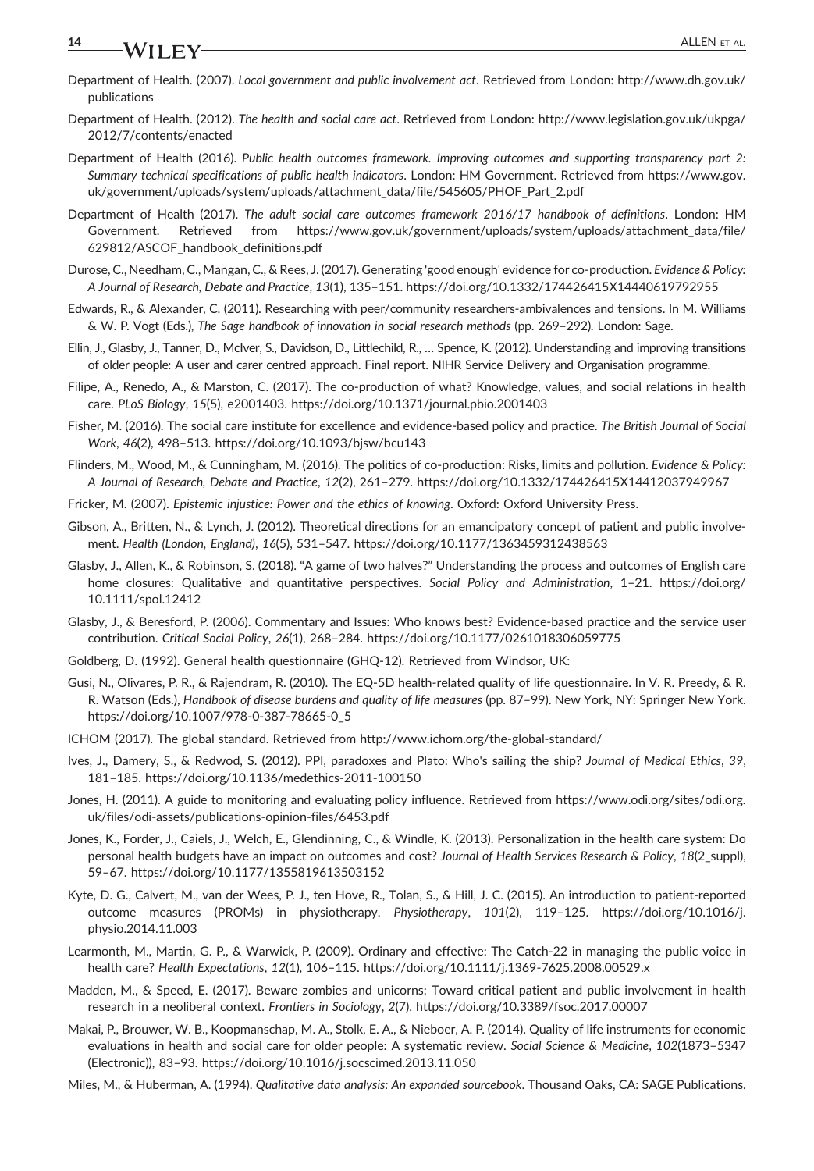Department of Health. (2007). *Local government and public involvement act*. Retrieved from London: [http://www.dh.gov.uk/](http://www.dh.gov.uk/publications) [publications](http://www.dh.gov.uk/publications)

- Department of Health. (2012). *The health and social care act*. Retrieved from London: [http://www.legislation.gov.uk/ukpga/](http://www.legislation.gov.uk/ukpga/2012/7/contents/enacted) [2012/7/contents/enacted](http://www.legislation.gov.uk/ukpga/2012/7/contents/enacted)
- Department of Health (2016). *Public health outcomes framework. Improving outcomes and supporting transparency part 2: Summary technical specifications of public health indicators*. London: HM Government. Retrieved from [https://www.gov.](https://www.gov.uk/government/uploads/system/uploads/attachment_data/file/545605/PHOF_Part_2.pdf) [uk/government/uploads/system/uploads/attachment\\_data/file/545605/PHOF\\_Part\\_2.pdf](https://www.gov.uk/government/uploads/system/uploads/attachment_data/file/545605/PHOF_Part_2.pdf)
- Department of Health (2017). *The adult social care outcomes framework 2016/17 handbook of definitions*. London: HM Government. Retrieved from [https://www.gov.uk/government/uploads/system/uploads/attachment\\_data/file/](https://www.gov.uk/government/uploads/system/uploads/attachment_data/file/629812/ASCOF_handbook_definitions.pdf) [629812/ASCOF\\_handbook\\_definitions.pdf](https://www.gov.uk/government/uploads/system/uploads/attachment_data/file/629812/ASCOF_handbook_definitions.pdf)
- Durose, C., Needham, C., Mangan, C., & Rees, J. (2017). Generating 'good enough' evidence for co‐production. *Evidence & Policy: A Journal of Research, Debate and Practice*, *13*(1), 135–151.<https://doi.org/10.1332/174426415X14440619792955>
- Edwards, R., & Alexander, C. (2011). Researching with peer/community researchers-ambivalences and tensions. In M. Williams & W. P. Vogt (Eds.), *The Sage handbook of innovation in social research methods* (pp. 269–292). London: Sage.
- Ellin, J., Glasby, J., Tanner, D., McIver, S., Davidson, D., Littlechild, R., … Spence, K. (2012). Understanding and improving transitions of older people: A user and carer centred approach. Final report. NIHR Service Delivery and Organisation programme.
- Filipe, A., Renedo, A., & Marston, C. (2017). The co-production of what? Knowledge, values, and social relations in health care. *PLoS Biology*, *15*(5), e2001403.<https://doi.org/10.1371/journal.pbio.2001403>
- Fisher, M. (2016). The social care institute for excellence and evidence‐based policy and practice. *The British Journal of Social Work*, *46*(2), 498–513.<https://doi.org/10.1093/bjsw/bcu143>
- Flinders, M., Wood, M., & Cunningham, M. (2016). The politics of co‐production: Risks, limits and pollution. *Evidence & Policy: A Journal of Research, Debate and Practice*, *12*(2), 261–279.<https://doi.org/10.1332/174426415X14412037949967>
- Fricker, M. (2007). *Epistemic injustice: Power and the ethics of knowing*. Oxford: Oxford University Press.
- Gibson, A., Britten, N., & Lynch, J. (2012). Theoretical directions for an emancipatory concept of patient and public involvement. *Health (London, England)*, *16*(5), 531–547.<https://doi.org/10.1177/1363459312438563>
- Glasby, J., Allen, K., & Robinson, S. (2018). "A game of two halves?" Understanding the process and outcomes of English care home closures: Qualitative and quantitative perspectives. *Social Policy and Administration*, 1–21. [https://doi.org/](https://doi.org/10.1111/spol.12412) [10.1111/spol.12412](https://doi.org/10.1111/spol.12412)
- Glasby, J., & Beresford, P. (2006). Commentary and Issues: Who knows best? Evidence‐based practice and the service user contribution. *Critical Social Policy*, *26*(1), 268–284.<https://doi.org/10.1177/0261018306059775>
- Goldberg, D. (1992). General health questionnaire (GHQ‐12). Retrieved from Windsor, UK:
- Gusi, N., Olivares, P. R., & Rajendram, R. (2010). The EQ‐5D health‐related quality of life questionnaire. In V. R. Preedy, & R. R. Watson (Eds.), *Handbook of disease burdens and quality of life measures* (pp. 87–99). New York, NY: Springer New York. [https://doi.org/10.1007/978](https://doi.org/10.1007/978-0-387-78665-0_5)‐0‐387‐78665‐0\_5
- ICHOM (2017). The global standard. Retrieved from [http://www.ichom.org/the](http://www.ichom.org/the-global-standard/)‐global‐standard/
- Ives, J., Damery, S., & Redwod, S. (2012). PPI, paradoxes and Plato: Who's sailing the ship? *Journal of Medical Ethics*, *39*, 181–185. [https://doi.org/10.1136/medethics](https://doi.org/10.1136/medethics-2011-100150)‐2011‐100150
- Jones, H. (2011). A guide to monitoring and evaluating policy influence. Retrieved from [https://www.odi.org/sites/odi.org.](https://www.odi.org/sites/odi.org.uk/files/odi-assets/publications-opinion-files/6453.pdf) uk/files/odi‐[assets/publications](https://www.odi.org/sites/odi.org.uk/files/odi-assets/publications-opinion-files/6453.pdf)‐opinion‐files/6453.pdf
- Jones, K., Forder, J., Caiels, J., Welch, E., Glendinning, C., & Windle, K. (2013). Personalization in the health care system: Do personal health budgets have an impact on outcomes and cost? *Journal of Health Services Research & Policy*, *18*(2\_suppl), 59–67.<https://doi.org/10.1177/1355819613503152>
- Kyte, D. G., Calvert, M., van der Wees, P. J., ten Hove, R., Tolan, S., & Hill, J. C. (2015). An introduction to patient‐reported outcome measures (PROMs) in physiotherapy. *Physiotherapy*, *101*(2), 119–125. [https://doi.org/10.1016/j.](https://doi.org/10.1016/j.physio.2014.11.003) [physio.2014.11.003](https://doi.org/10.1016/j.physio.2014.11.003)
- Learmonth, M., Martin, G. P., & Warwick, P. (2009). Ordinary and effective: The Catch‐22 in managing the public voice in health care? *Health Expectations*, *12*(1), 106–115. [https://doi.org/10.1111/j.1369](https://doi.org/10.1111/j.1369-7625.2008.00529.x)‐7625.2008.00529.x
- Madden, M., & Speed, E. (2017). Beware zombies and unicorns: Toward critical patient and public involvement in health research in a neoliberal context. *Frontiers in Sociology*, *2*(7).<https://doi.org/10.3389/fsoc.2017.00007>
- Makai, P., Brouwer, W. B., Koopmanschap, M. A., Stolk, E. A., & Nieboer, A. P. (2014). Quality of life instruments for economic evaluations in health and social care for older people: A systematic review. *Social Science & Medicine*, *102*(1873–5347 (Electronic)), 83–93.<https://doi.org/10.1016/j.socscimed.2013.11.050>
- Miles, M., & Huberman, A. (1994). *Qualitative data analysis: An expanded sourcebook*. Thousand Oaks, CA: SAGE Publications.